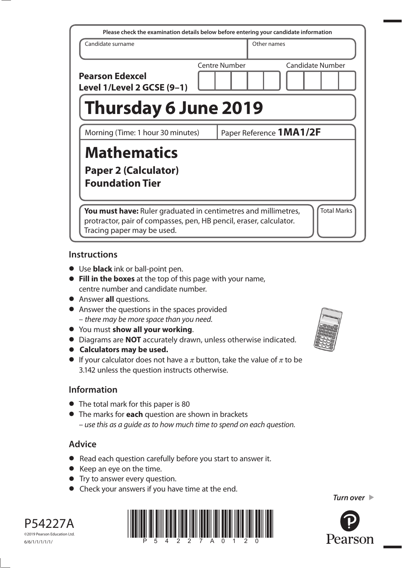| Please check the examination details below before entering your candidate information                                                                              |  |               |             |                    |
|--------------------------------------------------------------------------------------------------------------------------------------------------------------------|--|---------------|-------------|--------------------|
| Candidate surname                                                                                                                                                  |  |               | Other names |                    |
| <b>Pearson Edexcel</b><br>Level 1/Level 2 GCSE (9-1)                                                                                                               |  | Centre Number |             | Candidate Number   |
| <b>Thursday 6 June 2019</b>                                                                                                                                        |  |               |             |                    |
| Paper Reference 1MA1/2F<br>Morning (Time: 1 hour 30 minutes)                                                                                                       |  |               |             |                    |
| <b>Mathematics</b><br><b>Paper 2 (Calculator)</b><br><b>Foundation Tier</b>                                                                                        |  |               |             |                    |
| You must have: Ruler graduated in centimetres and millimetres,<br>protractor, pair of compasses, pen, HB pencil, eraser, calculator.<br>Tracing paper may be used. |  |               |             | <b>Total Marks</b> |

#### **Instructions**

- **•** Use **black** ink or ball-point pen.
- **• Fill in the boxes** at the top of this page with your name, centre number and candidate number.
- **•** Answer **all** questions.
- **•** Answer the questions in the spaces provided – there may be more space than you need.
- **•** You must **show all your working**.
- **•** Diagrams are **NOT** accurately drawn, unless otherwise indicated.
- **• Calculators may be used.**
- If your calculator does not have a  $\pi$  button, take the value of  $\pi$  to be 3.142 unless the question instructs otherwise.

# **Information**

- The total mark for this paper is 80
- **•** The marks for **each** question are shown in brackets – use this as a guide as to how much time to spend on each question.

# **Advice**

- **•** Read each question carefully before you start to answer it.
- **•** Keep an eye on the time.
- **•** Try to answer every question.
- **•** Check your answers if you have time at the end.



P54227A ©2019 Pearson Education Ltd. 6/6/1/1/1/1/1/





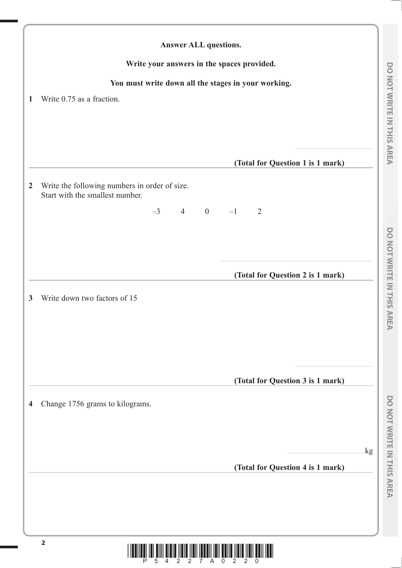DO NOTWRITE MITHIS AREA

|                | <b>Answer ALL questions.</b>                                                     |                                  |
|----------------|----------------------------------------------------------------------------------|----------------------------------|
|                | Write your answers in the spaces provided.                                       |                                  |
|                | You must write down all the stages in your working.                              |                                  |
| 1              | Write 0.75 as a fraction.                                                        |                                  |
|                |                                                                                  |                                  |
|                |                                                                                  |                                  |
|                |                                                                                  |                                  |
|                |                                                                                  | (Total for Question 1 is 1 mark) |
| $\overline{2}$ | Write the following numbers in order of size.<br>Start with the smallest number. |                                  |
|                | $-3$ 4 0                                                                         | $-1$<br>2                        |
|                |                                                                                  |                                  |
|                |                                                                                  |                                  |
|                |                                                                                  |                                  |
|                |                                                                                  | (Total for Question 2 is 1 mark) |
| 3              | Write down two factors of 15                                                     |                                  |
|                |                                                                                  |                                  |
|                |                                                                                  |                                  |
|                |                                                                                  |                                  |
|                |                                                                                  |                                  |
|                |                                                                                  | (Total for Question 3 is 1 mark) |
|                |                                                                                  |                                  |
| 4              | Change 1756 grams to kilograms.                                                  |                                  |
|                |                                                                                  |                                  |
|                |                                                                                  | $\log$                           |
|                |                                                                                  | (Total for Question 4 is 1 mark) |
|                |                                                                                  |                                  |
|                |                                                                                  |                                  |
|                |                                                                                  |                                  |
|                |                                                                                  |                                  |
|                | $\overline{\mathbf{2}}$                                                          | IIIIII                           |
|                | 7 A                                                                              | $\overline{0}$                   |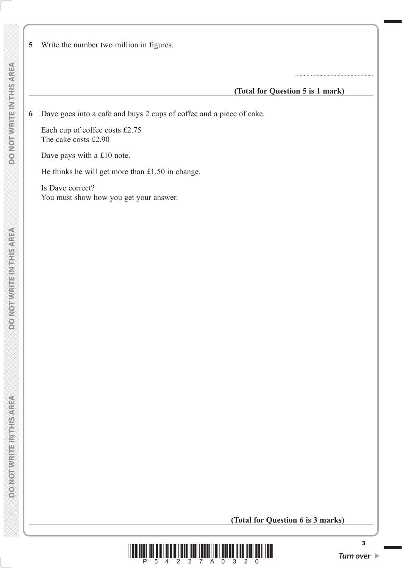**5** Write the number two million in figures.

#### **(Total for Question 5 is 1 mark)**

.......................................................

**6** Dave goes into a cafe and buys 2 cups of coffee and a piece of cake.

 Each cup of coffee costs £2.75 The cake costs £2.90

Dave pays with a £10 note.

He thinks he will get more than £1.50 in change.

 Is Dave correct? You must show how you get your answer.

#### **(Total for Question 6 is 3 marks)**



**3**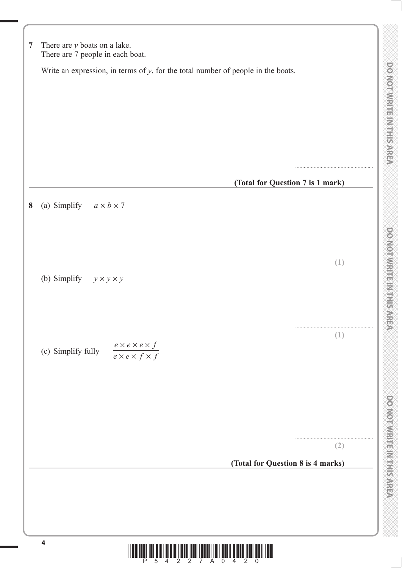| Write an expression, in terms of $y$ , for the total number of people in the boats.<br>(Total for Question 7 is 1 mark)<br>(a) Simplify $a \times b \times 7$<br>8<br>(1)<br>(b) Simplify $y \times y \times y$<br>(1)<br>$\frac{e \times e \times e \times f}{e \times e \times f \times f}$<br>(c) Simplify fully<br>(2)<br>(Total for Question 8 is 4 marks) | $\overline{7}$ | There are $y$ boats on a lake.<br>There are 7 people in each boat. |  |
|-----------------------------------------------------------------------------------------------------------------------------------------------------------------------------------------------------------------------------------------------------------------------------------------------------------------------------------------------------------------|----------------|--------------------------------------------------------------------|--|
|                                                                                                                                                                                                                                                                                                                                                                 |                |                                                                    |  |
|                                                                                                                                                                                                                                                                                                                                                                 |                |                                                                    |  |
|                                                                                                                                                                                                                                                                                                                                                                 |                |                                                                    |  |
|                                                                                                                                                                                                                                                                                                                                                                 |                |                                                                    |  |
|                                                                                                                                                                                                                                                                                                                                                                 |                |                                                                    |  |
|                                                                                                                                                                                                                                                                                                                                                                 |                |                                                                    |  |
|                                                                                                                                                                                                                                                                                                                                                                 |                |                                                                    |  |
|                                                                                                                                                                                                                                                                                                                                                                 |                |                                                                    |  |
|                                                                                                                                                                                                                                                                                                                                                                 |                |                                                                    |  |
|                                                                                                                                                                                                                                                                                                                                                                 |                |                                                                    |  |
|                                                                                                                                                                                                                                                                                                                                                                 |                |                                                                    |  |
|                                                                                                                                                                                                                                                                                                                                                                 |                |                                                                    |  |
|                                                                                                                                                                                                                                                                                                                                                                 |                |                                                                    |  |
|                                                                                                                                                                                                                                                                                                                                                                 |                |                                                                    |  |
|                                                                                                                                                                                                                                                                                                                                                                 |                |                                                                    |  |
|                                                                                                                                                                                                                                                                                                                                                                 |                |                                                                    |  |
|                                                                                                                                                                                                                                                                                                                                                                 |                |                                                                    |  |
|                                                                                                                                                                                                                                                                                                                                                                 |                |                                                                    |  |
| $\overline{\mathbf{4}}$<br><u> IIII IIII IIII IIII III</u><br>$A \overline{0}$<br>P<br>$\overline{2}$<br>$\overline{2}$<br>4<br>$2^{\circ}$<br>5<br>4<br>$7 -$<br>$\Omega$                                                                                                                                                                                      |                |                                                                    |  |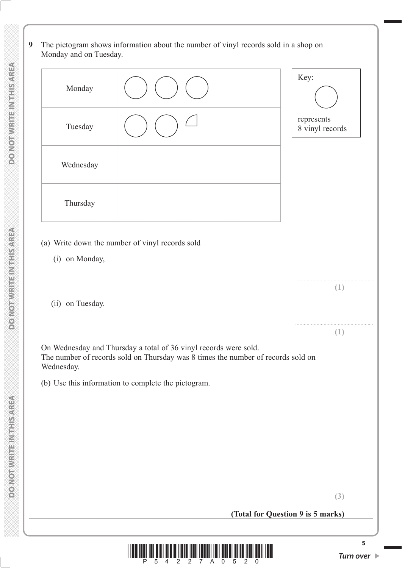**9** The pictogram shows information about the number of vinyl records sold in a shop on Monday and on Tuesday.

| Monday    | Key:                          |
|-----------|-------------------------------|
| Tuesday   | represents<br>8 vinyl records |
| Wednesday |                               |
| Thursday  |                               |

- (a) Write down the number of vinyl records sold
	- (i) on Monday,
	- (ii) on Tuesday.

 On Wednesday and Thursday a total of 36 vinyl records were sold. The number of records sold on Thursday was 8 times the number of records sold on Wednesday.

(b) Use this information to complete the pictogram.

....................................................... **(1)**

....................................................... **(1)**

**(Total for Question 9 is 5 marks)**



**5**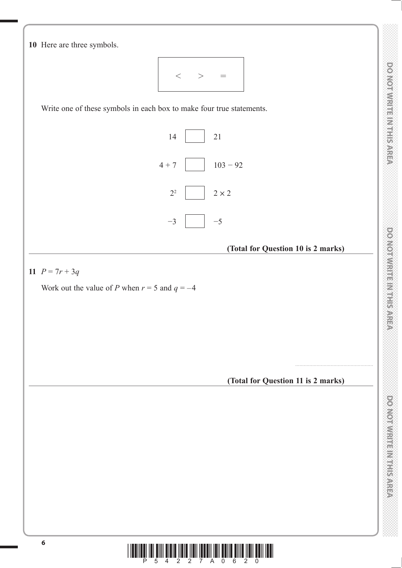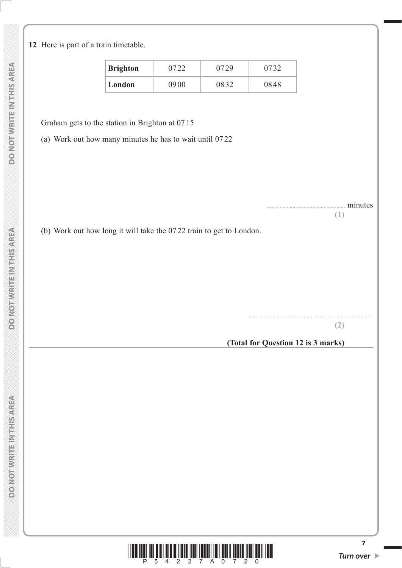**DONOTHER ENTRANCED** 

Secretary and present contract

**12** Here is part of a train timetable.

| <b>Brighton</b> | 07 22 | 0729 | 0732 |
|-----------------|-------|------|------|
| London          | 0900  | 0832 | 0848 |

Graham gets to the station in Brighton at 07 15

(a) Work out how many minutes he has to wait until 07 22

minutes

**(1)**

(b) Work out how long it will take the 07 22 train to get to London.

**(2)**

**(Total for Question 12 is 3 marks)**

.......................................................................................



**7**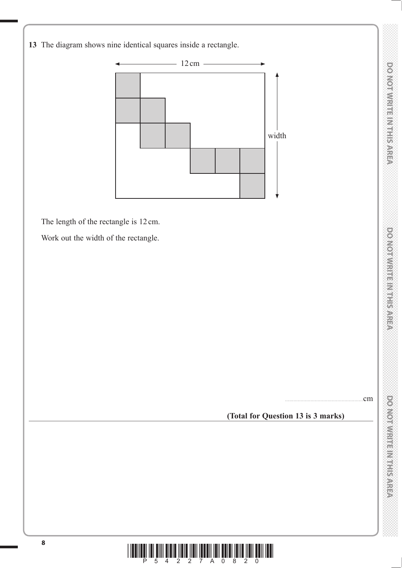**13** The diagram shows nine identical squares inside a rectangle.



The length of the rectangle is 12 cm.

Work out the width of the rectangle.

.......................................................cm

# **(Total for Question 13 is 3 marks)**



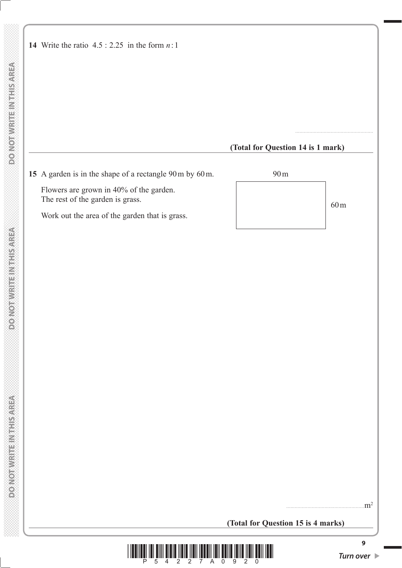|                                  |                                                        | (Total for Question 14 is 1 mark) |                 |
|----------------------------------|--------------------------------------------------------|-----------------------------------|-----------------|
|                                  | 15 A garden is in the shape of a rectangle 90m by 60m. | 90 <sub>m</sub>                   |                 |
| The rest of the garden is grass. | Flowers are grown in 40% of the garden.                |                                   | 60 <sub>m</sub> |
|                                  | Work out the area of the garden that is grass.         |                                   |                 |

# **(Total for Question 15 is 4 marks)**



 $\text{m}^2$ 

**DONOTWRITEINTHISAREA**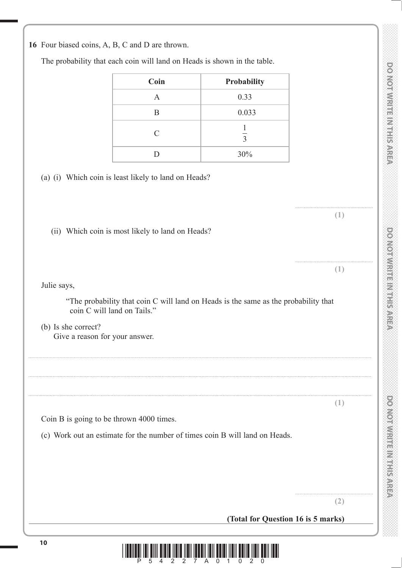**DOMORRINE IN HELP SARE** 

### **16** Four biased coins, A, B, C and D are thrown.

The probability that each coin will land on Heads is shown in the table.

| Coin          | Probability    |
|---------------|----------------|
| А             | 0.33           |
| B             | 0.033          |
| $\mathcal{C}$ | $\overline{3}$ |
| D             | 30%            |

(a) (i) Which coin is least likely to land on Heads?

(ii) Which coin is most likely to land on Heads?

Julie says,

 "The probability that coin C will land on Heads is the same as the probability that coin C will land on Tails."

 (b) Is she correct? Give a reason for your answer.

.................................................................................................................................................................................................................................................. .................................................................................................................................................................................................................................................. .................................................................................................................................................................................................................................................. **(1)** Coin B is going to be thrown 4000 times. (c) Work out an estimate for the number of times coin B will land on Heads.

**(2)**

.......................................................

....................................................... **(1)**

....................................................... **(1)**

# **(Total for Question 16 is 5 marks)**

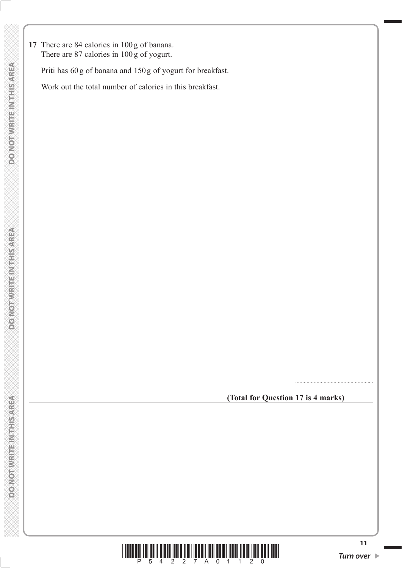**17** There are 84 calories in 100 g of banana. There are 87 calories in 100 g of yogurt.

Priti has 60 g of banana and 150 g of yogurt for breakfast.

Work out the total number of calories in this breakfast.

 **(Total for Question 17 is 4 marks)**

.......................................................

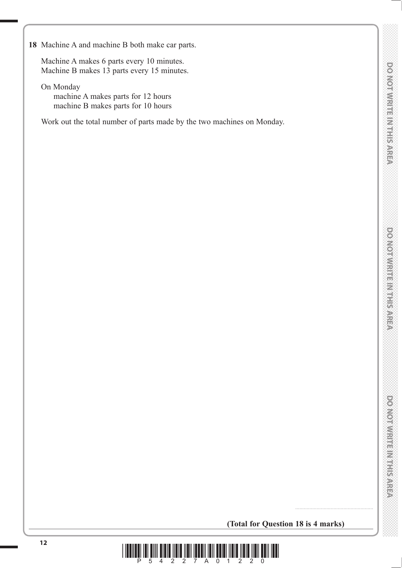**18** Machine A and machine B both make car parts.

 Machine A makes 6 parts every 10 minutes. Machine B makes 13 parts every 15 minutes.

 On Monday machine A makes parts for 12 hours machine B makes parts for 10 hours

Work out the total number of parts made by the two machines on Monday.

 **(Total for Question 18 is 4 marks)**

.......................................................

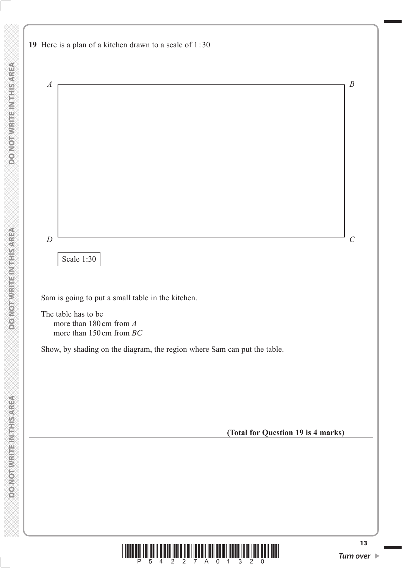



**DO NOT WRITE IN THIS AREA**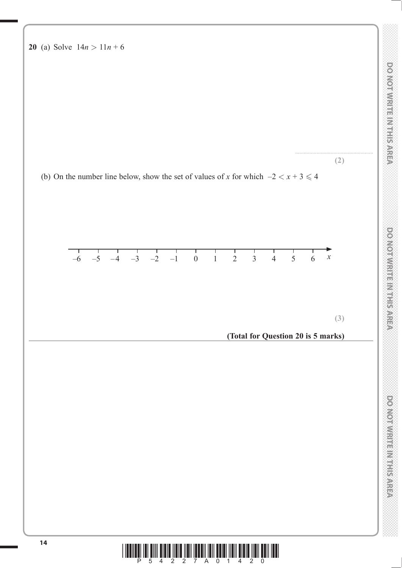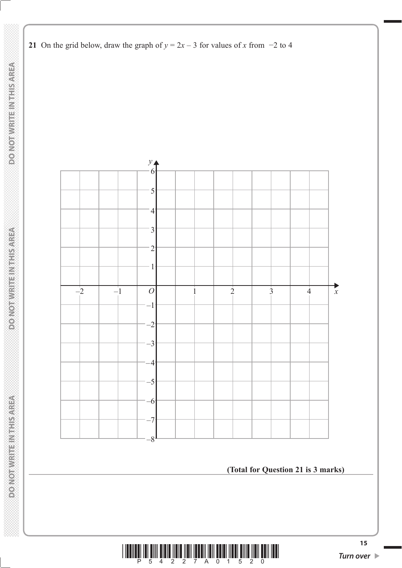

**21** On the grid below, draw the graph of  $y = 2x - 3$  for values of *x* from  $-2$  to 4

**(Total for Question 21 is 3 marks)**

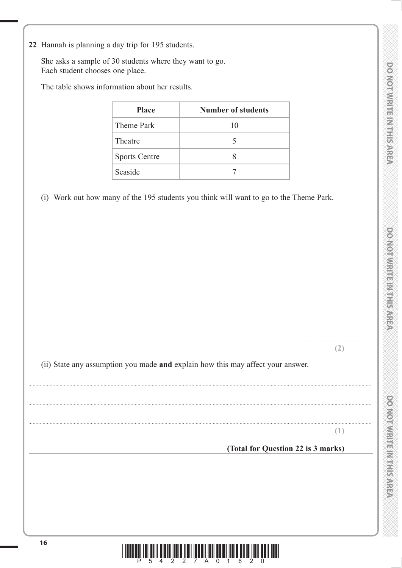**DOO YORD WEBSTART PARTIES** 

**22** Hannah is planning a day trip for 195 students.

 She asks a sample of 30 students where they want to go. Each student chooses one place.

The table shows information about her results.

| <b>Place</b>         | Number of students |
|----------------------|--------------------|
| Theme Park           | 10                 |
| Theatre              | 5                  |
| <b>Sports Centre</b> |                    |
| Seaside              |                    |

(i) Work out how many of the 195 students you think will want to go to the Theme Park.

**(2)**

.......................................................

(ii) State any assumption you made **and** explain how this may affect your answer.

..................................................................................................................................................................................................................................................

..................................................................................................................................................................................................................................................

..................................................................................................................................................................................................................................................

**(1)**

**(Total for Question 22 is 3 marks)**

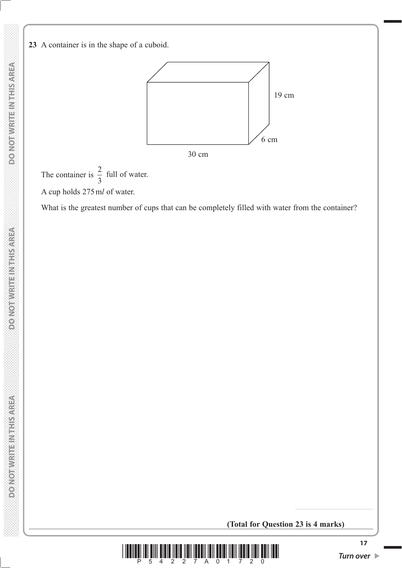#### **23** A container is in the shape of a cuboid.



The container is  $\frac{2}{3}$  full of water. A cup holds 275 m*l* of water.

What is the greatest number of cups that can be completely filled with water from the container?

**(Total for Question 23 is 4 marks)**



.......................................................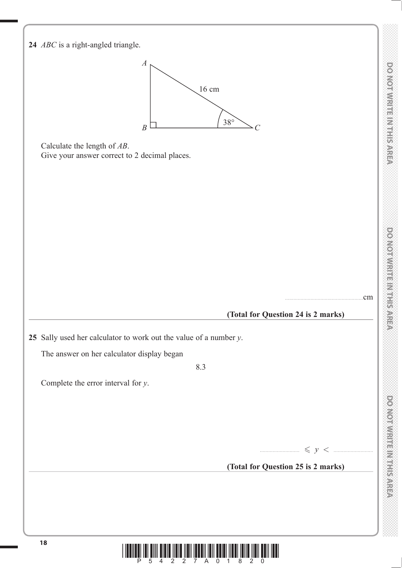

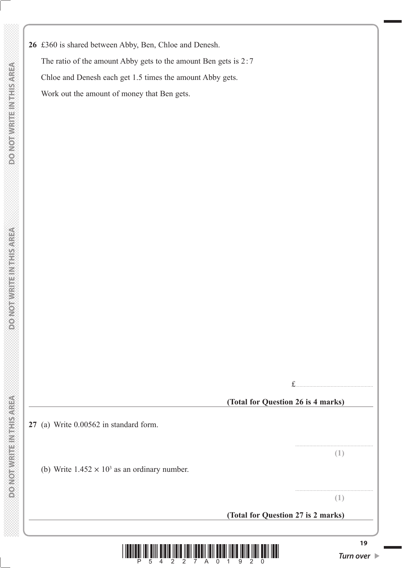**DO NOT WRITE INTHIS AREA** 

 **DO NOT WRITE IN THIS AREA DO NOT WRITE IN THIS AREA DO NOT WRITE IN THIS AREA DO NOT WRITE IN THIS AREA DO NOT WRITE IN THIS AREA DO NOT WRITE IN THIS AREA DO NOT WRITE IN THIS AREA DO NOT WRITE IN THIS AREA DO NOT WRITE DO NOT WRITEIN THIS AREA**  **26** £360 is shared between Abby, Ben, Chloe and Denesh. The ratio of the amount Abby gets to the amount Ben gets is 2:7 Chloe and Denesh each get 1.5 times the amount Abby gets. Work out the amount of money that Ben gets.

19 *Turn ove* **(Total for Question 26 is 4 marks) 27** (a) Write 0.00562 in standard form. ....................................................... **(1)** (b) Write  $1.452 \times 10^3$  as an ordinary number. ....................................................... **(1) (Total for Question 27 is 2 marks)**

£.......................................................